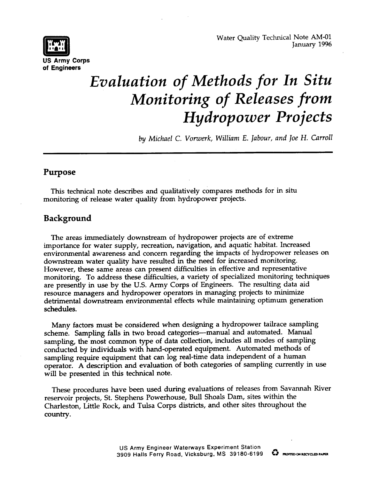**[m]** Water Quality Technical Note AM-01<br>
January 1996<br> **[16 Army German**  $\begin{bmatrix} 1 & 1 \\ 0 & 1 \end{bmatrix}$  January 1996



# *Evaluation of Methods for In Situ Monitoring of Releases from Hydropower Projects*

*by Michael C. Vonuerk, William E. Jabour, and Joe H. Carroll*

# **Purpose**

This technical note describes and qualitatively compares methods for in situ monitoring of release water quality from hydropower projects.

# **Background**

The areas immediately downstream of hydropower projects are of extreme importance for water supply, recreation, navigation, and aquatic habitat. Increased environmental awareness and concern regarding the impacts of hydropower releases on downstream water quality have resulted in the need for increased monitoring. However, these same areas can present difficulties in effective and representative monitoring. To address these difficulties, a variety of specialized monitoring techniques are presently in use by the U.S. Army Corps of Engineers. The resulting data aid resource managers and hydropower operators in managing projects to minimize detrimental downstream environmental effects while maintaining optimum generation schedules.

Many factors must be considered when designing a hydropower tailrace sampling scheme. Sampling falls in two broad categories-manual and automated. Manual sampling, the most common type of data collection, includes all modes of sampling conducted by individuals with hand-operated equipment. Automated methods of sampling require equipment that can log real-time data independent of a human operator. A description and evaluation of both categories of sampling currently in use will be presented in this technical note.

These procedures have been used during evaluations of releases from Savannah River reservoir projects, St. Stephens Powerhouse, Bull Shoals Dam, sites within the Charleston, Little Rock, and Tulsa Corps districts, and other sites throughout the country.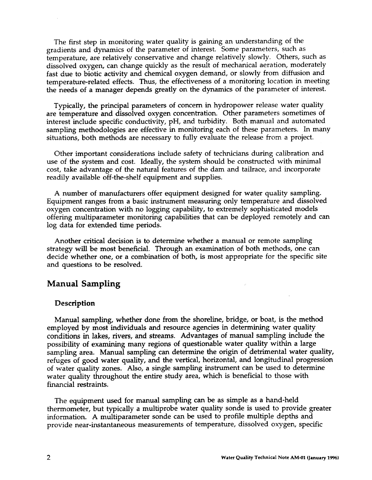The first step in monitoring water quality is gaining an understanding of the gradients and dynamics of the parameter of interest. Some parameters, such as temperature, are relatively conservative and change relatively slowly. Others, such as dissolved oxygen, can change quickly as the result of mechanical aeration, moderately fast due to biotic activity and chemical oxygen demand, or slowly from diffusion and temperature-related effects. Thus, the effectiveness of a monitoring location in meeting the needs of a manager depends greatly on the dynamics of the parameter of interest.

Typically, the principal parameters of concern in hydropower release water quality are temperature and dissolved oxygen concentration. Other parameters sometimes of interest include specific conductivity, pH, and turbidity. Both manual and automated sampling methodologies are effective in monitoring each of these parameters. In many situations, both methods are necessary to fully evaluate the release from a project.

Other important considerations include safety of technicians during calibration and use of the system and cost. Ideally, the system should be constructed with minimal cost, take advantage of the natural features of the dam and tailrace, and incorporate readily available off-the-shelf equipment and supplies.

A number of manufacturers offer equipment designed for water quality sampling. Equipment ranges from a basic instrument measuring only temperature and dissolved oxygen concentration with no logging capability, to extremely sophisticated models offering muhiparameter monitoring capabilities that can be deployed remotely and can log data for extended time periods.

Another critical decision is to determine whether a manual or remote sampling strategy will be most beneficial. Through an examination of both methods, one can decide whether one, or a combination of both, is most appropriate for the specific site and questions to be resolved.

# **Manual Sampling**

## **Description**

Manual sampling, whether done from the shoreline, bridge, or boat, is the method employed by most individuals and resource agencies in determining water quality conditions in lakes, rivers, and streams. Advantages of manual sampling include the possibility of examining many regions of questionable water quality within a large sampling area. Manual sampling can determine the origin of detrimental water quality, refuges of good water quality, and the vertical, horizontal, and longitudinal progression of water quality zones. Also, a single sampling instrument can be used to determine water quality throughout the entire study area, which is beneficial to those with financial restraints.

The equipment used for manual sampling can be as simple as a hand-held thermometer, but typically a multiprobe water quality sonde is used to provide greater information. A multiparameter sonde can be used to profile multiple depths and provide near-instantaneous measurements of temperature, dissolved oxygen, specific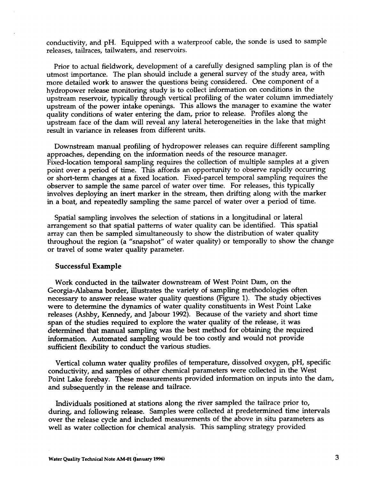conductivity, and pH. Equipped with a waterproof cable, the sonde is used to sample releases, tailraces, tailwaters, and reservoirs.

Prior to actual fieldwork, development of a carefully designed sampling plan is of the utmost importance. The plan should include a general survey of the study area, with more detailed work to answer the questions being considered. One component of a hydropower release monitoring study is to collect information on conditions in the upstream reservoir, typically through vertical profiling of the water column immediately upstream of the power intake openings. This allows the manager to examine the water quality conditions of water entering the dam, prior to release. Profiles along the upstream face of the darn will reveal any lateral heterogeneities in the lake that might result in variance in releases from different units.

Downstream manual profiling of hydropower releases can require different sampling approaches, depending on the information needs of the resource manager. Fixed-location temporal sampling requires the collection of multiple samples at a given point over a period of time. This affords an opportunity to observe rapidly occurring or short-term changes at a fixed location. Fixed-parcel temporal sampling requires the observer to sample the same parcel of water over time. For releases, this typically involves deploying an inert marker in the stream, then drifting along with the marker in a boat, and repeatedly sampling the same parcel of water over a period of time.

Spatial sampling involves the selection of stations in a longitudinal or lateral arrangement so that spatial patterns of water quality can be identified. This spatial array can then be sampled simultaneously to show the distribution of water quality throughout the region (a "smpshot" of water quality) or temporally to show the change or travel of some water quality parameter.

#### **Successful Example**

Work conducted in the tailwater downstream of West Point Dam, on the Georgia-Alabama border, illustrates the variety of sampling methodologies often necessary to answer release water quality questions (Figure 1). The study objectives were to determine the dynamics of water quality constituents in West Point Lake releases (Ashby, Kennedy, and Jabour 1992). Because of the variety and short time span of the studies required to explore the water quality of the release, it was determined that manual sampling was the best method for obtaining the required information. Automated sampling would be too costly and would not provide sufficient flexibility to conduct the various studies.

Vertical column **water quality profiles** of temperature, dissolved oxygen, pH, specific conductivity, and samples of other chemical parameters were collected in the West Point Lake forebay. These measurements provided information on inputs into the dam, and subsequently in the release and tailrace.

Individuals positioned at stations along the river sampled the tailrace prior to, during, and following release. Samples were collected at predetermined time intervals over the release cycle and included measurements of the above in situ parameters as well as water collection for chemical analysis. This sampling strategy provided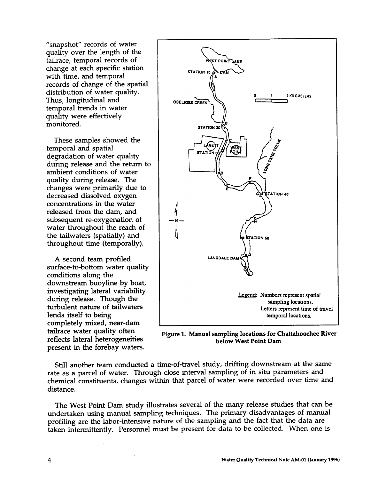"snapshot" records of water quality over the length of the tailrace, temporal records of change at each specific station with time, and temporal records of change of the spatial distribution of water quality. Thus, longitudinal and temporal trends in water quality were effectively monitored.

These samples showed the temporal and spatial degradation of water quality during release and the return to ambient conditions of water quality during release. The changes were primarily due to decreased dissolved oxygen concentrations in the water released from the dam, and subsequent re-oxygenation of water throughout the reach of the tailwaters (spatially) and throughout time (temporally).

A second team profiled surface-to-bottom water quality conditions along the downstream buoyline by boat, investigating lateral variability during release. Though the turbulent nature of tailwaters lends itself to being completely mixed, near-dam tailrace water quality often reflects lateral heterogeneities present in the forebay waters.



**Figure 1. Manual sampling locations for Chattahoochee River below West Point Dam**

Still another team conducted a time-of-travel study, drifting downstream at the same rate as a parcel of water. Through close interval sampling of in situ parameters and chemical constituents, changes within that parcel of water were recorded over time and distance.

The West Point Dam study illustrates several of the many release studies that can be undertaken using manual sampling techniques. The primary disadvantages of manual profiling are the labor-intensive nature of the sampling and the fact that the data are taken intermittently. Personnel must be present for data to be collected. When one is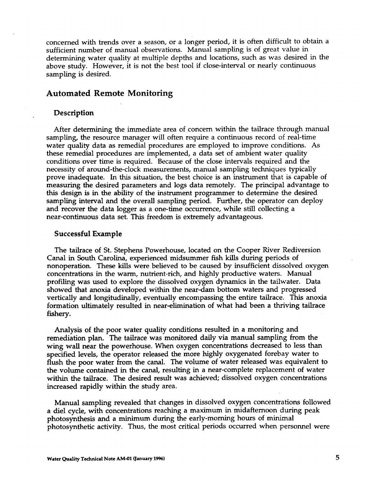concerned with trends over a season, or a longer period, it is often difficult to obtain a sufficient number of manual observations. Manual sampling is of great value in determining water quality at multiple depths and locations, such as was desired in the above study. However, it is not the best tool if close-interval or nearly continuous sampling is desired.

# **Automated Remote Monitoring**

#### **Description**

After determining the immediate area of concern within the tailrace through manua sampling, the resource manager will often require a continuous record of real-time water quality data as remedial procedures are employed to improve conditions. As these remedial procedures are implemented, a data set of ambient water quality conditions over time is required. Because of the close intervals required and the necessity of around-the-clock measurements, manual sampling techniques typically prove inadequate. In this situation, the best choice is an instrument that is capable of measuring the desired parameters and logs data remotely. The principal advantage to this design is in the ability of the instrument programmer to determine the desired sampling interval and the overall sampling period. Further, the operator can deploy and recover the data logger as a one-time occurrence, while still collecting a near-continuous data set. This freedom is extremely advantageous.

#### **Successful Example**

**The** tailrace of St. Stephens Powerhouse, located on the Cooper River Rediversion Canal in South Carolina, experienced midsummer fish kills during periods of nonoperation. These kills were believed to be caused by insufficient dissolved oxygen concentrations in the warm, nutrient-rich, and highly productive waters. Manual profiling was used to explore the dissolved oxygen dynamics in the tailwater. Data showed that anoxia developed within the near-dam bottom waters and progressed vertically and longitudinally, eventually encompassing the entire tailrace. This anoxia formation ultimately resulted in near-elimination of what had been a thriving tailrace fishery.

Analysis of the poor water quality conditions resulted in a monitoring and remediation plan. The tailrace was monitored daily via manual sampling from the wing wall near the powerhouse. When oxygen concentrations decreased to less than specified levels, the operator released the more highly oxygenated forebay water to flush the poor water from the canal. The volume of water released was equivalent to the volume contained in the canal, resulting in a near-complete replacement of water within the tailrace. The desired result was achieved; dissolved oxygen concentrations increased rapidly within the study area.

Manual sampling revealed that changes in dissolved oxygen concentrations followed a diel cycle, with concentrations reaching a maximum in midaftemoon during peak photosynthesis and a minimum during the early-morning hours of minimal photosynthetic activity. Thus, the most critical periods occurred when personnel were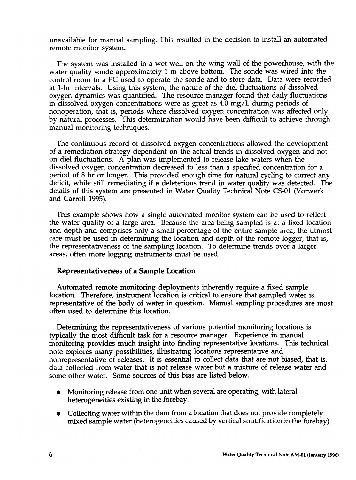unavailable for manual sampling. This resulted in the decision to install an automated remote **monitor system.**

The system was installed in a wet well on the wing wall of the powerhouse, with the water quality sonde approximately 1 m above bottom. The sonde was wired into the control room to a PC used to operate the sonde and to store data. Data were recorded at **l-h** intervals. Using this system, the nature of the diel fluctuations of dissolved oxygen dynamics was quantified. The resource manager found that daily fluctuations in dissolved oxygen concentrations were as great as 4.0 mg/L during periods of nonoperation, that is, periods where dissolved oxygen concentration was affected only by natural processes. This determination would have been difficult to achieve through manual monitoring techniques.

The continuous record of dissolved oxygen concentrations allowed the development of a remediation strategy dependent on the actual trends in dissolved oxygen and not on diel fluctuations. A plan was implemented to release lake waters when the dissolved oxygen concentration decreased to less than a specified concentration for a period of 8 hr or longer. This provided enough time for natural cycling to correct any deficit, while still remediating if a deleterious trend in water quality was detected. The details of this system are presented in Water Quality Technical Note CS-01 (Vorwerk and Carroll 1995).

This example shows how a single automated monitor system can be used to reflect the water quality of a large area. Because the area being sampled is at a fixed location and depth and comprises only a small percentage of the entire sample area, the utmost care must be used in determining the location and depth of the remote logger, that is, the representativeness of the sampling location. To determine trends over a larger areas, often more logging instruments must be used.

## **Representativeness of a Sample Location**

**Automated remote monitoring deployments inherently require a fixed sample location. Therefore, instrument location is critical to ensure that sampled water is representative of the body of water in question.** Manual sampling procedures are most often used to determine this location.

Determining the representativeness of various potential monitoring locations is typically the most difficult task for a resource manager. Experience in manual monitoring provides much insight into finding representative locations. This technical note explores many possibilities, illustrating locations representative and nonrepresentative of releases. It is essential to collect data that are not biased, that is, data collected from water that is not release water but a mixture of release water and some other water. Some sources of this bias are listed below.

- Monitoring release from one unit when several are operating, with lateral heterogeneities existing in the forebay.
- Collecting water within the dam from a location that does not provide completely mixed sample water (heterogeneities cawed **by vertical** stratification in the forebay).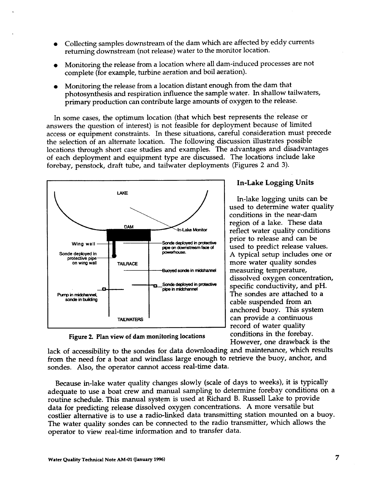- Collecting samples downstream of the dam which are affected by eddy currents returning downstream (not release) water to the monitor location.
- Monitoring the release from a location where all dam-induced processes are not complete (for example, turbine aeration and boil aeration).
- Monitoring the release from a location distant enough from the dam that photosynthesis and respiration influence the sample water. In shallow tailwaters, primary production can contribute large amounts of oxygen to the release.

In some cases, the optimum location (that which best represents the release or answers the question of interest) is not feasible for deployment because of limited access or equipment constraints. In these situations, careful consideration must precede the selection of an alternate location. The following discussion illustrates possible locations through short case studies and examples. The advantages and disadvantage of each deployment and equipment type are discussed. The locations include lake forebay, penstock, draft tube, and tailwater deployments (Figures 2 and 3).



**In-Lake Logging Units**

used to determine water quality ( conditions in the near-dam **1** region of a lake. These data reflect water quality condition  $\mathbf{r}$ used to predict release values dissolved oxygen concentration ( cable suspended from an In-lake logging units can be prior to release and can be A typical setup includes one or more water quality sondes measuring temperature, specific conductivity, and pH. The sondes are attached to a mchored buoy. This system an provide a continuous record of water quality :onditions in the forebay. However, one drawback is the

**Figure 2. Plan view of darn monitoring locations**

lack of accessibility to the sondes for data downloading and maintenance, which results from the need for a boat and windlass large enough to retrieve the buoy, anchor, and sondes. Also, the operator cannot access real-time data.

Because in-lake water quality changes slowly (scale of days to weeks), it is typically adequate to use a boat crew and manual sampling to determine forebay conditions on a routine schedule. This manual system is used at Richard B. Russell Lake to provide data for predicting release dissolved oxygen concentrations. A more versatile but costlier alternative is to use a radio-linked data transmitting station mounted on a buoy. The water quality sondes can be connected to the radio transmitter, which allows the operator to view real-time information and to transfer data.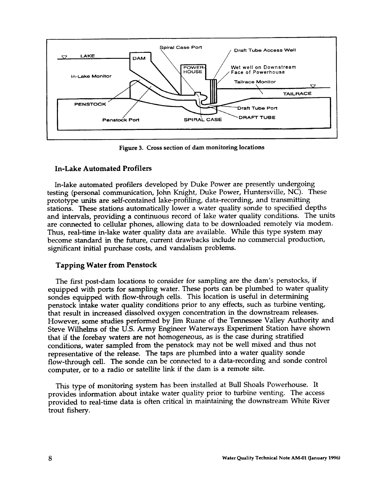

**Figure 3. Cross section of dam monitoring locations**

# **In-Lake Automated Profilers**

**In-lake automated profilers developed** by Duke Power are presently undergoing testing (personal communication, John Knight, Duke Power, Huntersville, NC). These prototype units are self-contained lake-profiling, data-recording, and transmitting stations. These stations automatically lower a water quality sonde to specified depths and intervals, providing a continuous record of lake water quality conditions. The units are connected to cellular phones, allowing data to be downloaded remotely via modem. Thus, real-time in-lake water quality data are available. While this type system may become standard in the future, current drawbacks include no commercial production, significant initial purchase costs, and vandalism problems.

# **Tapping Water from Penstock**

The first post-dam locations to consider for sampling are the dam's penstocks, if equipped with ports for sampling water. These ports can be plumbed to water quality sondes equipped with flow-through cells. This location is useful in determining penstock intake water quality conditions prior to any effects, such as turbine venting, that result in increased dissolved oxygen concentration in the downstream releases. However, some studies performed by Jim Ruane of the Tennessee Valley Authority and Steve Wilhelms of the U.S. Army Engineer Waterways Experiment Station have shown that if the forebay waters are not homogeneous, as is the case during stratified conditions, water sampled from the penstock may not be well mixed and thus not representative of the release. The taps are plumbed into a water quality sonde flow-through cell. The sonde can be connected to a data-recording and sonde control computer, or to a radio or satellite link if the dam is a remote site.

This type of monitoring system has been installed at Bull Shoals Powerhouse. It provides information about intake water quality prior to turbine venting. The access provided to real-time data is often critical in maintaining the downstream White River trout fishery.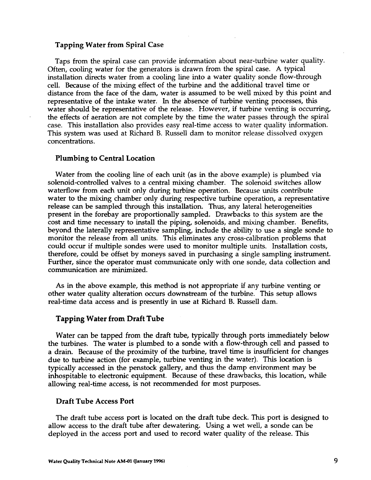#### **Tapping Water from Spiral Case**

Taps from the spiral case can provide information about near-turbine water quality. Often, cooling water for the generators is drawn from the spiral case. A typical installation directs water from a cooling line into a water quality sonde flow-through cell. Because of the mixing effect of the turbine and the additional travel time or distance from the face of the dam, water is assumed to be well mixed by this point and representative of the intake water. In the absence of turbine venting processes, this water should be representative of the release. However, if turbine venting is occurring, the effects of aeration are not complete by the time the water passes through the spiral case. This installation also provides easy real-time access to water quality information. This system was used at Richard B. Russell dam to monitor release dissolved oxygen concentrations.

#### **Plumbing to Central Location**

Water from the cooling line of each unit (as in the above example) is plumbed via solenoid-controlled valves to a central mixing chamber. The solenoid switches allow waterflow from each unit only during turbine operation. Because units contribute water to the mixing chamber only during respective turbine operation, a representative release can be sampled through this installation. Thus, any lateral heterogeneities present in the forebay are proportionally sampled. Drawbacks to this system are the cost and time necessary to install the piping, solenoids, and mixing chamber. Benefits, beyond the laterally representative sampling, include the ability to use a single sonde to monitor the release from all units. This eliminates any cross-calibration problems that could occur if multiple sondes were used to monitor multiple units. Installation costs, therefore, could be offset by moneys saved in purchasing a single sampling instrument. Further, since the operator must communicate only with one sonde, data collection and communication are minimized.

As in the above example, this method is not appropriate if any turbine venting or other water quality alteration occurs downstream of the turbine. This setup allows real-time data access and is presently in use at Richard B. Russell dam.

## **Tapping Water from Draft Tube**

Water can be tapped from the draft tube, typically through ports immediately below the turbines. The water is plumbed to a sonde with a flow-through cell and passed to a drain. Because of the proximity of the turbine, travel time is insufficient for changes due to turbine action (for example, turbine venting in the water). This location is typically accessed in the penstock gallery, and thus the damp environment maybe inhospitable to electronic equipment. Because of these drawbacks, this location, while allowing real-time access, is not recommended for most purposes.

## **Draft Tube Access Port**

The draft tube access port is located on the draft tube deck. This port is designed to allow access to the draft tube after dewatering. Using a wet well, a sonde can be deployed in the access port and used to record water quality of the release. This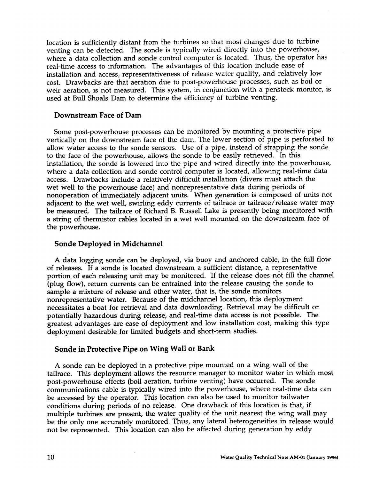location is sufficiently distant from the turbines so that most changes due to turbine venting can be detected. The sonde is typically wired directly into the powerhouse, where a data collection and sonde control computer is located. Thus, the operator has real-time access to information. The advantages of this location include ease of installation and access, representativeness of release water quality, and relatively low cost. Drawbacks are that aeration due to post-powerhouse processes, such as boil or weir aeration, is not measured. This system, in conjunction with a penstock monitor, is used at Bull Shoals Dam to determine the efficiency of turbine venting.

## **Downstream Face of Dam**

Some post-powerhouse processes can be monitored by mounting a protective pipe vertically on the downstream face of the dam. The lower section of pipe is perforated to allow water access to the sonde sensors. Use of a pipe, instead of strapping the sonde to the face of the powerhouse, allows the sonde to be easily retrieved. In this installation, the sonde is lowered into the pipe and wired directly into the powerhouse, where a data collection and sonde control computer is located, allowing real-time data access. Drawbacks include a relatively difficult installation (divers must attach the wet well to the powerhouse face) and nonrepresentative data during periods of nonoperation of immediately adjacent units. When generation is composed of units not adjacent to the wet well, swirling eddy currents of tailrace or tailrace/release water may be measured. The tailrace of Richard B. Russell Lake is presently being monitored with a string of thermistor cables located in a wet well mounted on the downstream face of the powerhouse.

## **Sonde Deployed in Midchannel**

A data logging sonde can be deployed, via buoy and anchored cable, in the full flow of releases. If a sonde is located downstream a sufficient distance, a representative portion of each releasing unit may be monitored. If the release does not fill the channel (plug flow), return currents can be entrained into the release causing the sonde to sample a mixture of release and other water, that is, the sonde monitors nonrepresentative water. Because of the midchannel location, this deployment necessitates a boat for retrieval and data downloading. Retrieval may be difficult or potentially hazardous during release, and real-time data access is not possible. The greatest advantages are ease of deployment and low installation cost, making this type deployment desirable for limited budgets and short-term studies.

# **Sonde in Protective Pipe on Wing Wall or Bank**

A sonde can be deployed in a protective pipe mounted on a wing wall of the tailrace. This deployment allows the resource manager to monitor water in which most post-powerhouse effects (boil aeration, turbine venting) have occurred. The sonde communications cable is typically wired into the powerhouse, where real-time data can be accessed by the operator. This location can also be used to monitor tailwater conditions during periods of no release. One drawback of this location is that, if multiple turbines are present, the water quality of the unit nearest the wing wall mav be the only one accurately monitored. Thus, any lateral heterogeneities in release would not be represented. This location can also be affected during generation by eddy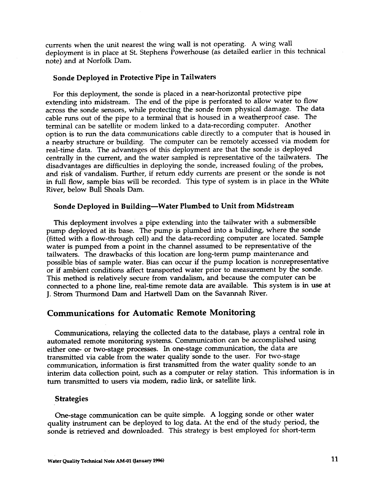currents when the unit nearest the wing wall is not operating. A wing wall deployment is in place at St. Stephens Powerhouse (as detailed earlier in this technical note) and at Norfolk Dam.

## **Sonde Deployed in Protective Pipe in Tailwaters**

For this deployment, the sonde is placed in a near-horizontal protective pipe extending into midstream. The end of the pipe is perforated to allow water to flow across the sonde sensors, while protecting the sonde from physical damage. The data cable runs out of the pipe to a terminal that is housed in a weatherproof case. The terminal can be satellite or modem linked to a data-recording computer. Another option is to run the data communications cable directly to a computer that is housed in a nearby structure or building. The computer can be remotely accessed via modem for real-time data. The advantages of this deployment are that the sonde is deployed centrally in the current, and the water sampled is representative of the tailwaters. The disadvantages are difficulties in deploying the sonde, increased fouling of the probes, and risk of vandalism. Further, if return eddy currents are present or the sonde is not in full flow, sample bias will be recorded. This type of system is in place in the White River, below BuI1 Shoals Dam.

# **Sonde Deployed in Building—Water Plumbed to Unit from Midstream**

This deployment involves a pipe extending into the tailwater with a submersible pump deployed at its base. The pump is plumbed into a building, where the sonde (fitted with a flow-through cell) and the data-recording computer are located. Sample water is pumped from a point in the channel assumed to be representative of the tailwaters. The drawbacks of this location are long-term pump maintenance and possible bias of sample water. Bias can occur if the pump location is nonrepresentative or if ambient conditions affect transported water prior to measurement by the sonde. This method is relatively secure from vandalism, and because the computer can be connected to a phone line, real-time remote data are available. This system is in use at J. Strom Thurrnond Darn and Hartwell Dam on the Savannah River.

## **Communications for Automatic Remote Monitoring**

Communications, relaying the collected data to the database, plays a central role in automated remote monitoring systems. Communication can be accomplished using either one- or two-stage processes. In one-stage communication, the data are transmitted via cable from the water quality 'sonde to the user. For two-stage communication, information is first transmitted from the water quality sonde to an interim data collection point, such as a computer or relay station. This information is in turn transmitted to users via modem, radio link, or satellite link.

#### **Strategies**

One-stage communication can be quite simple. A logging sonde or other water quality instrument can be deployed to log data. At the end of the study period, the sonde is retrieved and downloaded. This strategy is best employed for short-term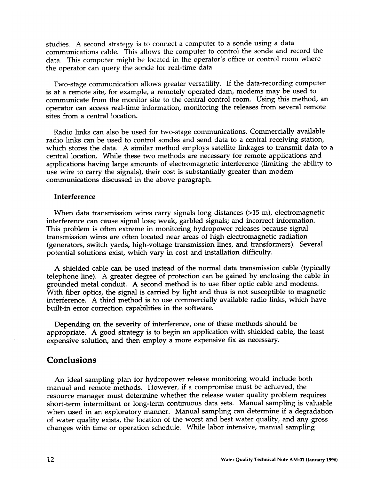studies. A second strategy is to comect a computer to a sonde using a data communications cable. This allows the computer to control the sonde and record the data. This computer might be located in the operator's office or control room where the operator can query the sonde for real-time data.

Two-stage communication allows greater versatility. If the data-recording computer is at a remote site, for example, a remotely operated dam, modems may be used to communicate from the monitor site to the central control room. Using this method, an operator can access real-time information, monitoring the releases from several remote sites from a central location.

Radio links can also be used for two-stage communications. Commercially available radio links can be used to control sondes and send data to a central receiving station, which stores the data. A similar method employs satellite linkages to transmit data to a central location. While these two methods are necessary for remote applications and applications having large amounts of electromagnetic interference (limiting the ability to use wire to carry the signals), their cost is substantially greater than modem communications discussed in the above paragraph

## **Interference**

When data transmission wires carry signals long distances (>15 m), electromagnet: interference can cause signal loss; weak, garbled signals; and incorrect information. This problem is often extreme in monitoring hydropower releases because signal transmission wires are often located near areas of high electromagnetic radiation (generators, switch yards, high-voltage transmission lines, and transformers). Several potential solutions exist, which vary in cost and installation difficulty.

A shielded cable can be used instead of the normal data transmission cable (typically telephone line). A greater degree of protection can be gained by enclosing the cable in grounded metal conduit. A second method is to use fiber optic cable and modems. With fiber optics, the signal is carried by light and thus is not susceptible to magnetic interference. A third method is to use commercially available radio links, which have built-in error correction capabilities in the software.

Depending on the severity of interference, one of these methods should be appropriate. A good strategy is to begin an application with shielded cable, the least expensive solution, and then employ a more expensive fix as necessary.

# **Conclusions**

**An** ideal sampling plan for hydropower release monitoring would include both manual and remote methods. However, if a compromise must be achieved, the resource manager must determine whether the release water quality problem requires short-term intermittent or long-term continuous data sets. Manual sampling is valuable when used in an exploratory manner. Manual sampling can determine if a degradation of water quality exists, the location of the worst and best water quality, and any gross changes with time or operation schedule. While labor intensive, manual sampling